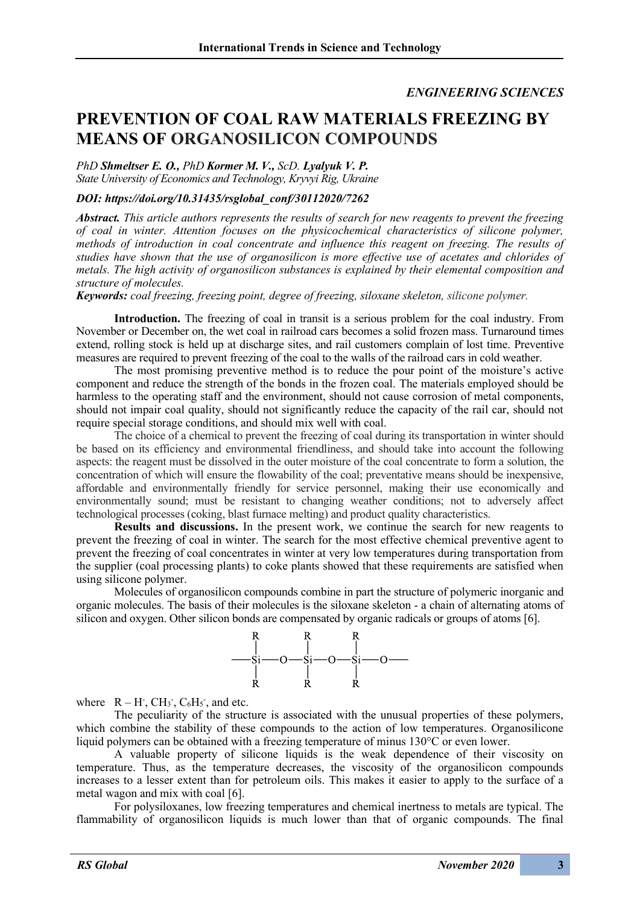## *ENGINEERING SCIENCES*

## **PREVENTION OF COAL RAW MATERIALS FREEZING BY MEANS OF ORGANOSILICON COMPOUNDS**

*PhD Shmeltser E. O., PhD Kormer M. V., ScD. Lyalyuk V. P. State University of Economics and Technology, Kryvyi Rig, Ukraine*

## *DOI: https://doi.org/10.31435/rsglobal\_conf/30112020/7262*

*Abstract. This article authors represents the results of search for new reagents to prevent the freezing of coal in winter. Attention focuses on the physicochemical characteristics of silicone polymer, methods of introduction in coal concentrate and influence this reagent on freezing. The results of studies have shown that the use of organosilicon is more effective use of acetates and chlorides of metals. The high activity of organosilicon substances is explained by their elemental composition and structure of molecules.*

*Keywords: coal freezing, freezing point, degree of freezing, siloxane skeleton, silicone polymer.*

**Introduction.** The freezing of coal in transit is a serious problem for the coal industry. From November or December on, the wet coal in railroad cars becomes a solid frozen mass. Turnaround times extend, rolling stock is held up at discharge sites, and rail customers complain of lost time. Preventive measures are required to prevent freezing of the coal to the walls of the railroad cars in cold weather.

The most promising preventive method is to reduce the pour point of the moisture's active component and reduce the strength of the bonds in the frozen coal. The materials employed should be harmless to the operating staff and the environment, should not cause corrosion of metal components, should not impair coal quality, should not significantly reduce the capacity of the rail car, should not require special storage conditions, and should mix well with coal.

The choice of a chemical to prevent the freezing of coal during its transportation in winter should be based on its efficiency and environmental friendliness, and should take into account the following aspects: the reagent must be dissolved in the outer moisture of the coal concentrate to form a solution, the concentration of which will ensure the flowability of the coal; preventative means should be inexpensive, affordable and environmentally friendly for service personnel, making their use economically and environmentally sound; must be resistant to changing weather conditions; not to adversely affect technological processes (coking, blast furnace melting) and product quality characteristics.

**Results and discussions.** In the present work, we continue the search for new reagents to prevent the freezing of coal in winter. The search for the most effective chemical preventive agent to prevent the freezing of coal concentrates in winter at very low temperatures during transportation from the supplier (coal processing plants) to coke plants showed that these requirements are satisfied when using silicone polymer.

Molecules of organosilicon compounds combine in part the structure of polymeric inorganic and organic molecules. The basis of their molecules is the siloxane skeleton - a chain of alternating atoms of silicon and oxygen. Other silicon bonds are compensated by organic radicals or groups of atoms [6].



where  $R - H^2$ ,  $CH_3$ <sup>-</sup>,  $C_6H_5$ <sup>-</sup>, and etc.

The peculiarity of the structure is associated with the unusual properties of these polymers, which combine the stability of these compounds to the action of low temperatures. Organosilicone liquid polymers can be obtained with a freezing temperature of minus 130°C or even lower.

A valuable property of silicone liquids is the weak dependence of their viscosity on temperature. Thus, as the temperature decreases, the viscosity of the organosilicon compounds increases to a lesser extent than for petroleum oils. This makes it easier to apply to the surface of a metal wagon and mix with coal [6].

For polysiloxanes, low freezing temperatures and chemical inertness to metals are typical. The flammability of organosilicon liquids is much lower than that of organic compounds. The final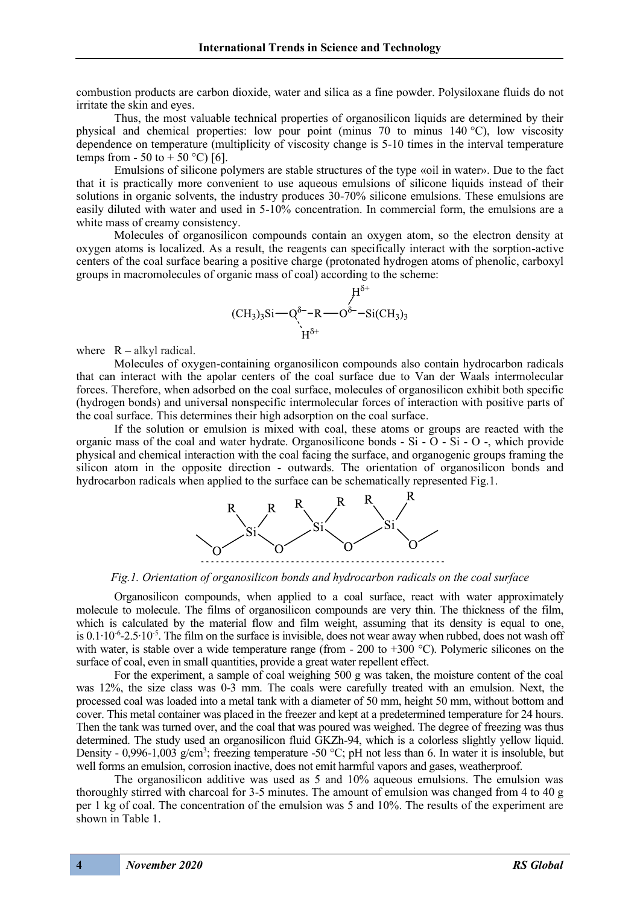combustion products are carbon dioxide, water and silica as a fine powder. Polysiloxane fluids do not irritate the skin and eyes.

Thus, the most valuable technical properties of organosilicon liquids are determined by their physical and chemical properties: low pour point (minus 70 to minus 140 °C), low viscosity dependence on temperature (multiplicity of viscosity change is 5-10 times in the interval temperature temps from - 50 to + 50 °C) [6].

Emulsions of silicone polymers are stable structures of the type «oil in water». Due to the fact that it is practically more convenient to use aqueous emulsions of silicone liquids instead of their solutions in organic solvents, the industry produces 30-70% silicone emulsions. These emulsions are easily diluted with water and used in 5-10% concentration. In commercial form, the emulsions are a white mass of creamy consistency.

Molecules of organosilicon compounds contain an oxygen atom, so the electron density at oxygen atoms is localized. As a result, the reagents can specifically interact with the sorption-active centers of the coal surface bearing a positive charge (protonated hydrogen atoms of phenolic, carboxyl groups in macromolecules of organic mass of coal) according to the scheme:

$$
{}_{(CH_3)_3Si \rightarrow Q^{\delta^-} - R \rightarrow O^{\delta^-} - Si(CH_3)_3}^{H^{\delta^+}}
$$

where  $R - alkyl$  radical.

Molecules of oxygen-containing organosilicon compounds also contain hydrocarbon radicals that can interact with the apolar centers of the coal surface due to Van der Waals intermolecular forces. Therefore, when adsorbed on the coal surface, molecules of organosilicon exhibit both specific (hydrogen bonds) and universal nonspecific intermolecular forces of interaction with positive parts of the coal surface. This determines their high adsorption on the coal surface.

If the solution or emulsion is mixed with coal, these atoms or groups are reacted with the organic mass of the coal and water hydrate. Organosilicone bonds - Si -  $\overline{O}$  - Si -  $\overline{O}$  -, which provide physical and chemical interaction with the coal facing the surface, and organogenic groups framing the silicon atom in the opposite direction - outwards. The orientation of organosilicon bonds and hydrocarbon radicals when applied to the surface can be schematically represented Fig.1.



*Fig.1. Orientation of organosilicon bonds and hydrocarbon radicals on the coal surface*

Organosilicon compounds, when applied to a coal surface, react with water approximately molecule to molecule. The films of organosilicon compounds are very thin. The thickness of the film, which is calculated by the material flow and film weight, assuming that its density is equal to one, is 0.1⋅10⋅<sup>6</sup>-2.5⋅10<sup>-5</sup>. The film on the surface is invisible, does not wear away when rubbed, does not wash off with water, is stable over a wide temperature range (from  $-200$  to  $+300$  °C). Polymeric silicones on the surface of coal, even in small quantities, provide a great water repellent effect.

For the experiment, a sample of coal weighing 500 g was taken, the moisture content of the coal was 12%, the size class was 0-3 mm. The coals were carefully treated with an emulsion. Next, the processed coal was loaded into a metal tank with a diameter of 50 mm, height 50 mm, without bottom and cover. This metal container was placed in the freezer and kept at a predetermined temperature for 24 hours. Then the tank was turned over, and the coal that was poured was weighed. The degree of freezing was thus determined. The study used an organosilicon fluid GKZh-94, which is a colorless slightly yellow liquid. Density - 0,996-1,003 g/cm<sup>3</sup>; freezing temperature -50 °C; pH not less than 6. In water it is insoluble, but well forms an emulsion, corrosion inactive, does not emit harmful vapors and gases, weatherproof.

The organosilicon additive was used as 5 and 10% aqueous emulsions. The emulsion was thoroughly stirred with charcoal for 3-5 minutes. The amount of emulsion was changed from 4 to 40 g per 1 kg of coal. The concentration of the emulsion was 5 and 10%. The results of the experiment are shown in Table 1.